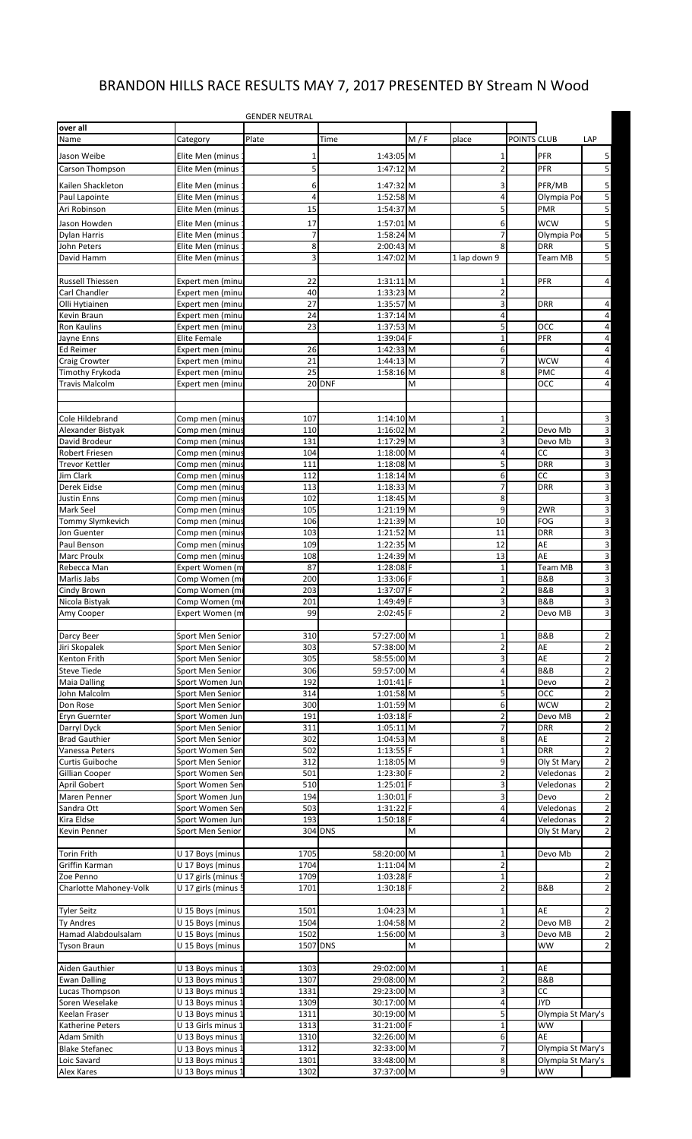## BRANDON HILLS RACE RESULTS MAY 7, 2017 PRESENTED BY Stream N Wood

|                                          |                     | <b>GENDER NEUTRAL</b> |                          |     |                     |             |                          |                                                    |
|------------------------------------------|---------------------|-----------------------|--------------------------|-----|---------------------|-------------|--------------------------|----------------------------------------------------|
| over all<br>Name                         |                     | Plate                 | Time                     | M/F | place               | POINTS CLUB |                          | LAP                                                |
|                                          | Category            |                       |                          |     |                     |             |                          |                                                    |
| Jason Weibe                              | Elite Men (minus    | 1                     | 1:43:05 M                |     | 1                   |             | <b>PFR</b>               | 5                                                  |
| Carson Thompson                          | Elite Men (minus    | 5                     | 1:47:12 M                |     | $\overline{2}$      |             | PFR                      | 5                                                  |
| Kailen Shackleton                        | Elite Men (minus    | 6                     | 1:47:32 M                |     | 3                   |             | PFR/MB                   | $\overline{\mathbf{5}}$                            |
| Paul Lapointe                            | Elite Men (minus    | $\overline{4}$        | 1:52:58 M                |     | $\overline{4}$      |             | Olympia Por              | $\overline{5}$                                     |
| Ari Robinson                             | Elite Men (minus    | 15                    | 1:54:37 M                |     | 5                   |             | <b>PMR</b>               | 5                                                  |
| Jason Howden                             | Elite Men (minus    | 17                    | 1:57:01 M                |     | 6                   |             | <b>WCW</b>               | 5                                                  |
| <b>Dylan Harris</b>                      | Elite Men (minus    | $\overline{7}$        | 1:58:24 M                |     | $\overline{7}$      |             | Olympia Por              | 5                                                  |
| John Peters                              | Elite Men (minus    | 8                     | 2:00:43 M                |     | 8                   |             | <b>DRR</b>               | 5                                                  |
| David Hamm                               | Elite Men (minus    | 3                     | 1:47:02 M                |     | 1 lap down 9        |             | Team MB                  | 5                                                  |
|                                          |                     |                       |                          |     |                     |             |                          |                                                    |
| <b>Russell Thiessen</b>                  | Expert men (minu    | 22                    | $1:31:11$ M              |     | $1\,$               |             | PFR                      | $\overline{4}$                                     |
| Carl Chandler                            | Expert men (minu    | 40                    | 1:33:23 M                |     | $\overline{2}$      |             |                          |                                                    |
| Olli Hytiainen                           | Expert men (minu    | 27                    | 1:35:57 M                |     | 3                   |             | <b>DRR</b>               | 4                                                  |
| Kevin Braun                              | Expert men (minu:   | 24<br>23              | $1:37:14$ M              |     | $\overline{4}$      |             |                          | $\overline{\mathbf{r}}$<br>$\overline{\mathbf{r}}$ |
| Ron Kaulins                              | Expert men (minu    |                       | 1:37:53 M                |     | 5<br>$\mathbf{1}$   |             | <b>OCC</b>               |                                                    |
| Jayne Enns                               | Elite Female        |                       | 1:39:04 F                |     |                     |             | <b>PFR</b>               | $\blacktriangleleft$<br>$\overline{\mathbf{r}}$    |
| Ed Reimer                                | Expert men (minu    | 26                    | 1:42:33 M                |     | 6<br>$\overline{7}$ |             |                          | $\overline{\mathbf{r}}$                            |
| <b>Craig Crowter</b>                     | Expert men (minu    | 21                    | 1:44:13 M                |     |                     |             | <b>WCW</b>               |                                                    |
| Timothy Frykoda<br><b>Travis Malcolm</b> | Expert men (minu    | 25                    | $1:58:16$ M<br>20 DNF    | M   | 8                   |             | <b>PMC</b><br><b>OCC</b> | $\overline{\mathbf{r}}$<br>$\overline{\mathbf{r}}$ |
|                                          | Expert men (minu    |                       |                          |     |                     |             |                          |                                                    |
|                                          |                     |                       |                          |     |                     |             |                          |                                                    |
| Cole Hildebrand                          | Comp men (minus     | 107                   | 1:14:10 M                |     | $\mathbf{1}$        |             |                          | 3                                                  |
| Alexander Bistyak                        | Comp men (minus     | 110                   | 1:16:02 M                |     | $\overline{2}$      |             | Devo Mb                  | $\overline{3}$                                     |
| David Brodeur                            | Comp men (minus     | 131                   | 1:17:29 M                |     | 3                   |             | Devo Mb                  | $\overline{3}$                                     |
| Robert Friesen                           | Comp men (minus     | 104                   | 1:18:00 M                |     | $\overline{4}$      |             | CC                       | 3                                                  |
| <b>Trevor Kettler</b>                    | Comp men (minus     | 111                   | 1:18:08 M                |     | 5                   |             | <b>DRR</b>               | $\overline{3}$                                     |
| Jim Clark                                | Comp men (minus     | 112                   | $1:18:14$ M              |     | 6                   |             | <b>CC</b>                | 3                                                  |
| Derek Eidse                              | Comp men (minus     | 113                   | 1:18:33 M                |     | $\overline{7}$      |             | <b>DRR</b>               | 3                                                  |
| <b>Justin Enns</b>                       | Comp men (minus     | 102                   | $1:18:45$ M              |     | 8                   |             |                          | $\overline{3}$                                     |
| <b>Mark Seel</b>                         | Comp men (minus     | 105                   | $1:21:19$ M              |     | 9                   |             | 2WR                      | $\overline{\mathbf{3}}$                            |
| Tommy Slymkevich                         | Comp men (minus     | 106                   | 1:21:39 M                |     | 10                  |             | <b>FOG</b>               | $\overline{3}$                                     |
| Jon Guenter                              | Comp men (minus     | 103                   | 1:21:52 M                |     | 11                  |             | <b>DRR</b>               | 3                                                  |
| Paul Benson                              | Comp men (minus     | 109                   | 1:22:35 M                |     | 12                  |             | AE                       | 3                                                  |
| <b>Marc Proulx</b>                       | Comp men (minus     | 108                   | 1:24:39 M                |     | 13                  |             | AE                       | $\overline{3}$                                     |
| Rebecca Man                              | Expert Women (m     | 87                    | 1:28:08 F                |     | $\mathbf{1}$        |             | <b>Team MB</b>           | 3                                                  |
| Marlis Jabs                              | Comp Women (mi      | 200                   | 1:33:06 F                |     | $\mathbf{1}$        |             | B&B                      | 3                                                  |
| Cindy Brown                              | Comp Women (mi      | 203                   | 1:37:07 F                |     | $\overline{2}$      |             | B&B                      | $\overline{3}$                                     |
| Nicola Bistyak                           | Comp Women (mi      | 201                   | 1:49:49 F                |     | 3                   |             | <b>B&amp;B</b>           | 3                                                  |
| Amy Cooper                               | Expert Women (m     | 99                    | 2:02:45 F                |     | $\overline{2}$      |             | Devo MB                  | $\mathsf{a}$                                       |
|                                          |                     |                       |                          |     |                     |             |                          |                                                    |
| Darcy Beer                               | Sport Men Senior    | 310                   | 57:27:00 M               |     | $\mathbf{1}$        |             | B&B                      | $\overline{\mathbf{c}}$                            |
| Jiri Skopalek                            | Sport Men Senior    | 303                   | 57:38:00 M               |     | $\overline{2}$      |             | AE                       | $\overline{2}$                                     |
| Kenton Frith                             | Sport Men Senior    | 305                   | 58:55:00 M               |     | 3                   |             | AE                       | $\overline{2}$                                     |
| <b>Steve Tiede</b>                       | Sport Men Senior    | 306                   | 59:57:00 M               |     | 4                   |             | <b>B&amp;B</b>           | $\overline{2}$                                     |
| <b>Maia Dalling</b>                      | Sport Women Jun     | 192                   | $1:01:41$ F              |     | $\mathbf{1}$        |             | Devo                     | $\overline{2}$                                     |
| John Malcolm                             | Sport Men Senior    | 314                   | 1:01:58 M                |     | 5                   |             | OCC                      | $\overline{2}$                                     |
| Don Rose                                 | Sport Men Senior    | 300                   | $1:01:59$ M              |     | 6                   |             | <b>WCW</b>               | $\overline{2}$                                     |
| Eryn Guernter                            | Sport Women Jun     | 191                   | $1:03:18$ F              |     | $\overline{2}$      |             | Devo MB                  | $\overline{\mathbf{c}}$                            |
| Darryl Dyck                              | Sport Men Senior    | 311                   | $1:05:11$ M              |     | $\overline{7}$      |             | <b>DRR</b>               | $\overline{\mathbf{c}}$                            |
| <b>Brad Gauthier</b>                     | Sport Men Senior    | 302                   | 1:04:53 M                |     | 8                   |             | AE                       | $\overline{2}$                                     |
| Vanessa Peters                           | Sport Women Sen     | 502                   | $1:13:55$ F              |     | $\mathbf 1$         |             | <b>DRR</b>               | $\overline{\mathbf{c}}$                            |
| Curtis Guiboche                          | Sport Men Senior    | 312                   | 1:18:05 M                |     | 9                   |             | Oly St Mary              | $\overline{2}$                                     |
| Gillian Cooper                           | Sport Women Sen     | 501                   | 1:23:30 F                |     | $\overline{2}$      |             | Veledonas                | $\overline{2}$                                     |
| April Gobert                             | Sport Women Sen     | 510                   | 1:25:01 F                |     | 3                   |             | Veledonas                | $\overline{2}$                                     |
| Maren Penner                             | Sport Women Jun     | 194                   | 1:30:01 F                |     | 3                   |             | Devo                     | $\overline{2}$                                     |
| Sandra Ott                               | Sport Women Sen     | 503                   | 1:31:22 F                |     | 4                   |             | Veledonas                | $\overline{\mathbf{c}}$                            |
| Kira Eldse                               | Sport Women Jun     | 193                   | 1:50:18 F                |     | $\overline{4}$      |             | Veledonas                | $\overline{2}$                                     |
| Kevin Penner                             | Sport Men Senior    |                       | 304 DNS                  | M   |                     |             | Oly St Mary              | $\overline{2}$                                     |
|                                          |                     |                       |                          |     |                     |             |                          |                                                    |
| <b>Torin Frith</b>                       | U 17 Boys (minus    | 1705                  | 58:20:00 M               |     | $\mathbf{1}$        |             | Devo Mb                  | $\overline{2}$                                     |
| Griffin Karman                           | U 17 Boys (minus    | 1704                  | 1:11:04 M                |     | $\overline{2}$      |             |                          | $\overline{2}$                                     |
| Zoe Penno                                | U 17 girls (minus 5 | 1709                  | $1:03:28$ F              |     | $\mathbf{1}$        |             |                          | $\overline{2}$                                     |
| Charlotte Mahoney-Volk                   | U 17 girls (minus 5 | 1701                  | 1:30:18 F                |     | $\overline{2}$      |             | <b>B&amp;B</b>           | $\overline{2}$                                     |
| <b>Tyler Seitz</b>                       | U 15 Boys (minus    | 1501                  | 1:04:23 M                |     | $1\,$               |             | AE                       | $\overline{2}$                                     |
| <b>Ty Andres</b>                         | U 15 Boys (minus    | 1504                  | 1:04:58 M                |     | $\overline{2}$      |             | Devo MB                  | $\overline{2}$                                     |
| Hamad Alabdoulsalam                      | U 15 Boys (minus    | 1502                  | 1:56:00 M                |     | 3                   |             | Devo MB                  | $\overline{\mathbf{c}}$                            |
| <b>Tyson Braun</b>                       | U 15 Boys (minus    | 1507 DNS              |                          | Μ   |                     |             | <b>WW</b>                | $\overline{2}$                                     |
|                                          |                     |                       |                          |     |                     |             |                          |                                                    |
|                                          | U 13 Boys minus 1   | 1303                  | 29:02:00 M               |     | $\mathbf{1}$        |             | AE                       |                                                    |
| Aiden Gauthier                           |                     |                       |                          |     | $\overline{2}$      |             | B&B                      |                                                    |
| <b>Ewan Dalling</b>                      | U 13 Boys minus 1   | 1307<br>1331          | 29:08:00 M<br>29:23:00 M |     | 3                   |             | <b>CC</b>                |                                                    |
| Lucas Thompson<br>Soren Weselake         | U 13 Boys minus 1   |                       |                          |     | 4                   |             | <b>JYD</b>               |                                                    |
|                                          | U 13 Boys minus 1   | 1309                  | 30:17:00 M               |     |                     |             |                          |                                                    |
| Keelan Fraser                            | U 13 Boys minus 1   | 1311                  | 30:19:00 M               |     | 5                   |             | Olympia St Mary's        |                                                    |
| Katherine Peters                         | U 13 Girls minus 1  | 1313                  | 31:21:00 F               |     | $\mathbf{1}$        |             | <b>WW</b>                |                                                    |
| Adam Smith                               | U 13 Boys minus 1   | 1310                  | 32:26:00 M               |     | 6                   |             | AE                       |                                                    |
| <b>Blake Stefanec</b>                    | U 13 Boys minus 1   | 1312                  | 32:33:00 M               |     | $\overline{7}$      |             | Olympia St Mary's        |                                                    |
| Loic Savard                              | U 13 Boys minus 1   | 1301                  | 33:48:00 M               |     | 8                   |             | Olympia St Mary's        |                                                    |
| <b>Alex Kares</b>                        | U 13 Boys minus 1   | 1302                  | 37:37:00 M               |     | 9                   |             | <b>WW</b>                |                                                    |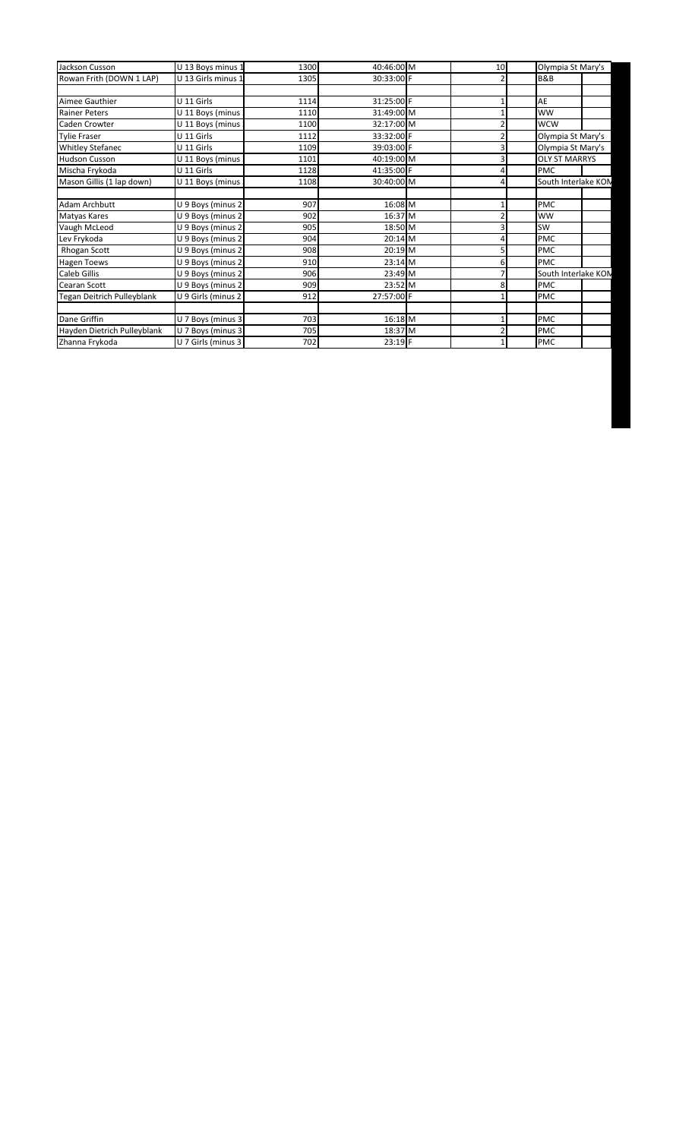| Jackson Cusson              | U 13 Boys minus 1  | 1300 | 40:46:00 M | 10 | Olympia St Mary's    |                     |
|-----------------------------|--------------------|------|------------|----|----------------------|---------------------|
| Rowan Frith (DOWN 1 LAP)    | U 13 Girls minus 1 | 1305 | 30:33:00 F |    | <b>B&amp;B</b>       |                     |
|                             |                    |      |            |    |                      |                     |
| Aimee Gauthier              | U 11 Girls         | 1114 | 31:25:00 F |    | AE                   |                     |
| <b>Rainer Peters</b>        | U 11 Boys (minus   | 1110 | 31:49:00 M |    | <b>WW</b>            |                     |
| Caden Crowter               | U 11 Boys (minus   | 1100 | 32:17:00 M |    | <b>WCW</b>           |                     |
| <b>Tylie Fraser</b>         | U 11 Girls         | 1112 | 33:32:00 F |    | Olympia St Mary's    |                     |
| <b>Whitley Stefanec</b>     | U 11 Girls         | 1109 | 39:03:00 F |    | Olympia St Mary's    |                     |
| <b>Hudson Cusson</b>        | U 11 Boys (minus   | 1101 | 40:19:00 M |    | <b>OLY ST MARRYS</b> |                     |
| Mischa Frykoda              | U 11 Girls         | 1128 | 41:35:00 F |    | <b>PMC</b>           |                     |
| Mason Gillis (1 lap down)   | U 11 Boys (minus   | 1108 | 30:40:00 M |    |                      | South Interlake KON |
|                             |                    |      |            |    |                      |                     |
| Adam Archbutt               | U 9 Boys (minus 2  | 907  | 16:08 M    |    | PMC                  |                     |
| Matyas Kares                | U 9 Boys (minus 2  | 902  | 16:37 M    |    | <b>WW</b>            |                     |
| Vaugh McLeod                | U 9 Boys (minus 2  | 905  | 18:50 M    |    | SW                   |                     |
| Lev Frykoda                 | U 9 Boys (minus 2  | 904  | 20:14 M    |    | <b>PMC</b>           |                     |
| <b>Rhogan Scott</b>         | U 9 Boys (minus 2  | 908  | 20:19 M    |    | PMC                  |                     |
| Hagen Toews                 | U 9 Boys (minus 2  | 910  | 23:14 M    | 6  | <b>PMC</b>           |                     |
| Caleb Gillis                | U 9 Boys (minus 2  | 906  | 23:49 M    |    |                      | South Interlake KON |
| Cearan Scott                | U 9 Boys (minus 2  | 909  | 23:52 M    | 8  | PMC                  |                     |
| Tegan Deitrich Pulleyblank  | U 9 Girls (minus 2 | 912  | 27:57:00 F |    | PMC                  |                     |
|                             |                    |      |            |    |                      |                     |
| Dane Griffin                | U 7 Boys (minus 3  | 703  | 16:18 M    |    | PMC                  |                     |
| Hayden Dietrich Pulleyblank | U 7 Boys (minus 3  | 705  | 18:37 M    |    | PMC                  |                     |
| Zhanna Frykoda              | U 7 Girls (minus 3 | 702  | 23:19 F    |    | PMC                  |                     |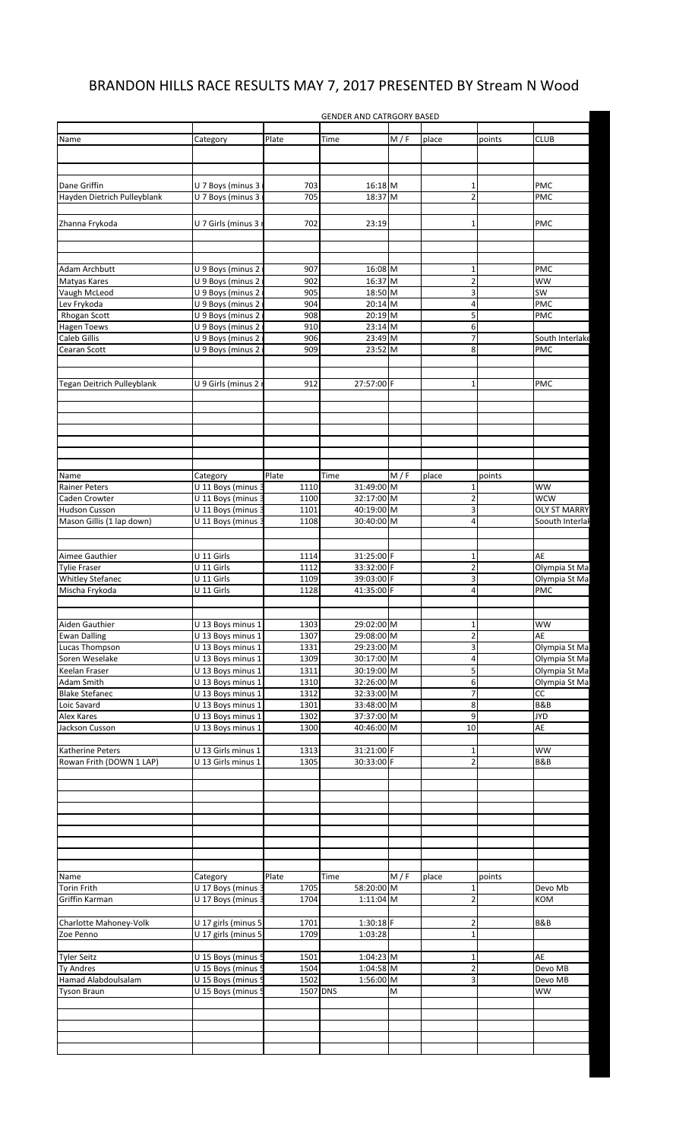## BRANDON HILLS RACE RESULTS MAY 7, 2017 PRESENTED BY Stream N Wood

GENDER AND CATRGORY BASED

| Name                              | Category            | Plate    | Time        | M/F | place                   | points | <b>CLUB</b>         |
|-----------------------------------|---------------------|----------|-------------|-----|-------------------------|--------|---------------------|
|                                   |                     |          |             |     |                         |        |                     |
|                                   |                     |          |             |     |                         |        |                     |
|                                   |                     |          |             |     |                         |        |                     |
|                                   |                     |          |             |     |                         |        |                     |
| Dane Griffin                      | U 7 Boys (minus 3   | 703      | 16:18 M     |     | 1                       |        | PMC                 |
| Hayden Dietrich Pulleyblank       | U 7 Boys (minus 3   | 705      | 18:37 M     |     | $\overline{2}$          |        | PMC                 |
|                                   |                     |          |             |     |                         |        |                     |
| Zhanna Frykoda                    | U 7 Girls (minus 3  | 702      | 23:19       |     | $\mathbf{1}$            |        | PMC                 |
|                                   |                     |          |             |     |                         |        |                     |
|                                   |                     |          |             |     |                         |        |                     |
|                                   |                     |          |             |     |                         |        |                     |
|                                   |                     |          |             |     |                         |        |                     |
| Adam Archbutt                     | U 9 Boys (minus 2   | 907      | 16:08 M     |     | 1                       |        | PMC                 |
| Matyas Kares                      | U 9 Boys (minus 2   | 902      | 16:37 M     |     | $\overline{2}$          |        | WW                  |
| Vaugh McLeod                      | U 9 Boys (minus 2   | 905      | 18:50 M     |     | 3                       |        | <b>SW</b>           |
| Lev Frykoda                       | U 9 Boys (minus 2   | 904      | 20:14 M     |     | 4                       |        | PMC                 |
| Rhogan Scott                      | U 9 Boys (minus 2   | 908      | 20:19 M     |     | 5                       |        | PMC                 |
|                                   |                     |          | 23:14 M     |     |                         |        |                     |
| <b>Hagen Toews</b>                | U 9 Boys (minus 2   | 910      |             |     | 6                       |        |                     |
| Caleb Gillis                      | U 9 Boys (minus 2   | 906      | 23:49 M     |     | 7                       |        | South Interlake     |
| Cearan Scott                      | U 9 Boys (minus 2   | 909      | 23:52 M     |     | 8                       |        | PMC                 |
|                                   |                     |          |             |     |                         |        |                     |
|                                   |                     |          |             |     |                         |        |                     |
| <b>Tegan Deitrich Pulleyblank</b> | U 9 Girls (minus 2  | 912      | 27:57:00 F  |     | $\mathbf 1$             |        | PMC                 |
|                                   |                     |          |             |     |                         |        |                     |
|                                   |                     |          |             |     |                         |        |                     |
|                                   |                     |          |             |     |                         |        |                     |
|                                   |                     |          |             |     |                         |        |                     |
|                                   |                     |          |             |     |                         |        |                     |
|                                   |                     |          |             |     |                         |        |                     |
|                                   |                     |          |             |     |                         |        |                     |
|                                   |                     |          |             |     |                         |        |                     |
| Name                              | Category            | Plate    | Time        | M/F | place                   | points |                     |
| <b>Rainer Peters</b>              | U 11 Boys (minus 3  | 1110     | 31:49:00 M  |     | 1                       |        | <b>WW</b>           |
|                                   |                     |          |             |     |                         |        |                     |
| Caden Crowter                     | U 11 Boys (minus    | 1100     | 32:17:00 M  |     | $\overline{2}$          |        | <b>WCW</b>          |
| Hudson Cusson                     | U 11 Boys (minus    | 1101     | 40:19:00 M  |     | 3                       |        | <b>OLY ST MARRY</b> |
| Mason Gillis (1 lap down)         | U 11 Boys (minus    | 1108     | 30:40:00 M  |     | 4                       |        | Soouth Interlal     |
|                                   |                     |          |             |     |                         |        |                     |
|                                   |                     |          |             |     |                         |        |                     |
| Aimee Gauthier                    | U 11 Girls          | 1114     | 31:25:00 F  |     | $\mathbf 1$             |        | AE                  |
| <b>Tylie Fraser</b>               | U 11 Girls          | 1112     | 33:32:00 F  |     | $\overline{2}$          |        | Olympia St Ma       |
|                                   |                     |          |             |     | 3                       |        |                     |
| <b>Whitley Stefanec</b>           | U 11 Girls          | 1109     | 39:03:00 F  |     |                         |        | Olympia St Ma       |
| Mischa Frykoda                    | U 11 Girls          | 1128     | 41:35:00 F  |     | 4                       |        | PMC                 |
|                                   |                     |          |             |     |                         |        |                     |
|                                   |                     |          |             |     |                         |        |                     |
| Aiden Gauthier                    | U 13 Boys minus 1   | 1303     | 29:02:00 M  |     | $\mathbf{1}$            |        | WW                  |
| <b>Ewan Dalling</b>               | U 13 Boys minus 1   | 1307     | 29:08:00 M  |     | $\overline{2}$          |        | AE                  |
| Lucas Thompson                    | U 13 Boys minus 1   | 1331     | 29:23:00 M  |     | $\overline{3}$          |        | Olympia St Ma       |
| Soren Weselake                    | U 13 Boys minus 1   | 1309     | 30:17:00 M  |     | $\overline{\mathbf{r}}$ |        | Olympia St Ma       |
|                                   |                     |          |             |     |                         |        |                     |
| Keelan Fraser                     | U 13 Boys minus 1   | 1311     | 30:19:00 M  |     | 5                       |        | Olympia St Ma       |
| Adam Smith                        | U 13 Boys minus 1   | 1310     | 32:26:00 M  |     | $6 \mid$                |        | Olympia St Ma       |
| <b>Blake Stefanec</b>             | U 13 Boys minus 1   | 1312     | 32:33:00 M  |     | $\overline{7}$          |        | CC                  |
| Loic Savard                       | U 13 Boys minus 1   | 1301     | 33:48:00 M  |     | 8                       |        | <b>B&amp;B</b>      |
| Alex Kares                        | U 13 Boys minus 1   | 1302     | 37:37:00 M  |     | $\overline{9}$          |        | <b>JYD</b>          |
| Jackson Cusson                    | U 13 Boys minus 1   | 1300     | 40:46:00 M  |     | 10                      |        | AE                  |
|                                   |                     |          |             |     |                         |        |                     |
|                                   |                     |          |             |     |                         |        |                     |
| Katherine Peters                  | U 13 Girls minus 1  | 1313     | 31:21:00 F  |     | $\mathbf 1$             |        | <b>WW</b>           |
| Rowan Frith (DOWN 1 LAP)          | U 13 Girls minus 1  | 1305     | 30:33:00 F  |     | $\overline{2}$          |        | B&B                 |
|                                   |                     |          |             |     |                         |        |                     |
|                                   |                     |          |             |     |                         |        |                     |
|                                   |                     |          |             |     |                         |        |                     |
|                                   |                     |          |             |     |                         |        |                     |
|                                   |                     |          |             |     |                         |        |                     |
|                                   |                     |          |             |     |                         |        |                     |
|                                   |                     |          |             |     |                         |        |                     |
|                                   |                     |          |             |     |                         |        |                     |
|                                   |                     |          |             |     |                         |        |                     |
|                                   |                     |          |             |     |                         |        |                     |
| Name                              | Category            | Plate    | Time        | M/F | place                   | points |                     |
| Torin Frith                       | U 17 Boys (minus 3  | 1705     | 58:20:00 M  |     | $\mathbf 1$             |        | Devo Mb             |
| Griffin Karman                    | U 17 Boys (minus 3  | 1704     | 1:11:04 M   |     | $\overline{2}$          |        | KOM                 |
|                                   |                     |          |             |     |                         |        |                     |
|                                   |                     |          | 1:30:18 F   |     | $\overline{2}$          |        | B&B                 |
| Charlotte Mahoney-Volk            | U 17 girls (minus 5 | 1701     |             |     |                         |        |                     |
| Zoe Penno                         | U 17 girls (minus 5 | 1709     | 1:03:28     |     | $\mathbf 1$             |        |                     |
|                                   |                     |          |             |     |                         |        |                     |
| <b>Tyler Seitz</b>                | U 15 Boys (minus 5  | 1501     | 1:04:23 M   |     | $\mathbf 1$             |        | AE                  |
| <b>Ty Andres</b>                  | U 15 Boys (minus 5  | 1504     | 1:04:58 M   |     | $\overline{2}$          |        | Devo MB             |
| Hamad Alabdoulsalam               | U 15 Boys (minus 5  | 1502     | $1:56:00$ M |     | 3                       |        | Devo MB             |
|                                   |                     | 1507 DNS |             |     |                         |        |                     |
| <b>Tyson Braun</b>                | U 15 Boys (minus 5  |          |             | M   |                         |        | ww                  |
|                                   |                     |          |             |     |                         |        |                     |
|                                   |                     |          |             |     |                         |        |                     |
|                                   |                     |          |             |     |                         |        |                     |
|                                   |                     |          |             |     |                         |        |                     |
|                                   |                     |          |             |     |                         |        |                     |
|                                   |                     |          |             |     |                         |        |                     |